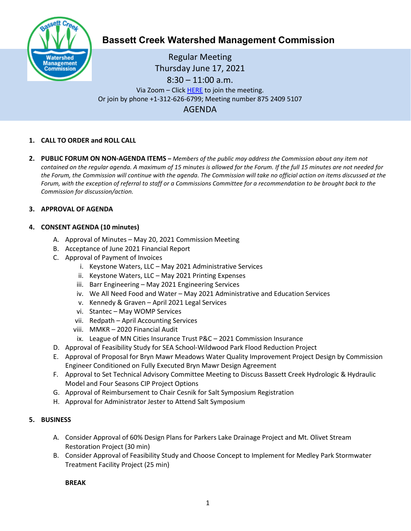

# **Bassett Creek Watershed Management Commission**

Regular Meeting Thursday June 17, 2021 8:30 – 11:00 a.m. Via Zoom – Clic[k HERE](https://us02web.zoom.us/j/87524095107) to join the meeting. Or join by phone +1-312-626-6799; Meeting number 875 2409 5107 AGENDA

# **1. CALL TO ORDER and ROLL CALL**

**2. PUBLIC FORUM ON NON-AGENDA ITEMS –** *Members of the public may address the Commission about any item not contained on the regular agenda. A maximum of 15 minutes is allowed for the Forum. If the full 15 minutes are not needed for the Forum, the Commission will continue with the agenda. The Commission will take no official action on items discussed at the Forum, with the exception of referral to staff or a Commissions Committee for a recommendation to be brought back to the Commission for discussion/action.*

## **3. APPROVAL OF AGENDA**

## **4. CONSENT AGENDA (10 minutes)**

- A. Approval of Minutes May 20, 2021 Commission Meeting
- B. Acceptance of June 2021 Financial Report
- C. Approval of Payment of Invoices
	- i. Keystone Waters, LLC May 2021 Administrative Services
	- ii. Keystone Waters, LLC May 2021 Printing Expenses
	- iii. Barr Engineering May 2021 Engineering Services
	- iv. We All Need Food and Water May 2021 Administrative and Education Services
	- v. Kennedy & Graven April 2021 Legal Services
	- vi. Stantec May WOMP Services
	- vii. Redpath April Accounting Services
	- viii. MMKR 2020 Financial Audit
	- ix. League of MN Cities Insurance Trust P&C 2021 Commission Insurance
- D. Approval of Feasibility Study for SEA School-Wildwood Park Flood Reduction Project
- E. Approval of Proposal for Bryn Mawr Meadows Water Quality Improvement Project Design by Commission Engineer Conditioned on Fully Executed Bryn Mawr Design Agreement
- F. Approval to Set Technical Advisory Committee Meeting to Discuss Bassett Creek Hydrologic & Hydraulic Model and Four Seasons CIP Project Options
- G. Approval of Reimbursement to Chair Cesnik for Salt Symposium Registration
- H. Approval for Administrator Jester to Attend Salt Symposium

#### **5. BUSINESS**

- A. Consider Approval of 60% Design Plans for Parkers Lake Drainage Project and Mt. Olivet Stream Restoration Project (30 min)
- B. Consider Approval of Feasibility Study and Choose Concept to Implement for Medley Park Stormwater Treatment Facility Project (25 min)

**BREAK**